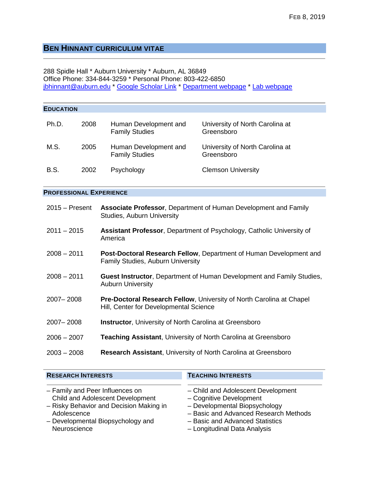# **BEN HINNANT CURRICULUM VITAE**

288 Spidle Hall \* Auburn University \* Auburn, AL 36849 Office Phone: 334-844-3259 \* Personal Phone: 803-422-6850 [jbhinnant@auburn.edu](mailto:jbhinnant@auburn.edu) \* [Google Scholar Link](http://scholar.google.com/citations?user=GNsLwYkAAAAJ&hl=en) \* [Department webpage](http://www.humsci.auburn.edu/hdfs/hinnant/) \* Lab [webpage](http://wp.auburn.edu/cad)

| <b>EDUCATION</b> |      |                                                                                                                |                                               |  |  |  |  |
|------------------|------|----------------------------------------------------------------------------------------------------------------|-----------------------------------------------|--|--|--|--|
| Ph.D.            | 2008 | Human Development and<br><b>Family Studies</b>                                                                 | University of North Carolina at<br>Greensboro |  |  |  |  |
| M.S.             | 2005 | Human Development and<br><b>Family Studies</b>                                                                 | University of North Carolina at<br>Greensboro |  |  |  |  |
| <b>B.S.</b>      | 2002 | Psychology                                                                                                     | <b>Clemson University</b>                     |  |  |  |  |
|                  |      | <b>PROFESSIONAL EXPERIENCE</b>                                                                                 |                                               |  |  |  |  |
| $2015 -$ Present |      | Associate Professor, Department of Human Development and Family<br>Studies, Auburn University                  |                                               |  |  |  |  |
| $2011 - 2015$    |      | Assistant Professor, Department of Psychology, Catholic University of<br>America                               |                                               |  |  |  |  |
| $2008 - 2011$    |      | Post-Doctoral Research Fellow, Department of Human Development and<br><b>Family Studies, Auburn University</b> |                                               |  |  |  |  |
| $2008 - 2011$    |      | <b>Guest Instructor, Department of Human Development and Family Studies,</b><br><b>Auburn University</b>       |                                               |  |  |  |  |
| 2007-2008        |      | Pre-Doctoral Research Fellow, University of North Carolina at Chapel<br>Hill, Center for Developmental Science |                                               |  |  |  |  |
| 2007-2008        |      | <b>Instructor, University of North Carolina at Greensboro</b>                                                  |                                               |  |  |  |  |
| $2006 - 2007$    |      | Teaching Assistant, University of North Carolina at Greensboro                                                 |                                               |  |  |  |  |
| $2003 - 2008$    |      | Research Assistant, University of North Carolina at Greensboro                                                 |                                               |  |  |  |  |
|                  |      |                                                                                                                |                                               |  |  |  |  |

| <b>RESEARCH INTERESTS</b>               | <b>TEACHING INTERESTS</b>             |
|-----------------------------------------|---------------------------------------|
| - Family and Peer Influences on         | - Child and Adolescent Development    |
| Child and Adolescent Development        | - Cognitive Development               |
| - Risky Behavior and Decision Making in | - Developmental Biopsychology         |
| Adolescence                             | - Basic and Advanced Research Methods |
| - Developmental Biopsychology and       | - Basic and Advanced Statistics       |
| Neuroscience                            | - Longitudinal Data Analysis          |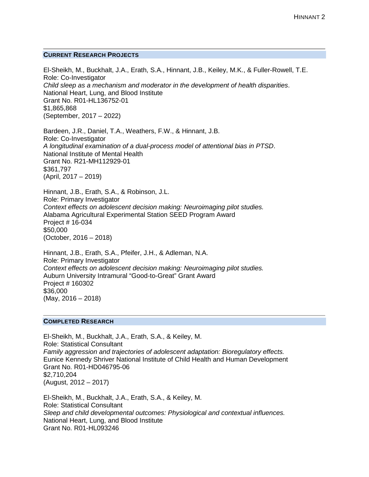# **CURRENT RESEARCH PROJECTS**

El-Sheikh, M., Buckhalt, J.A., Erath, S.A., Hinnant, J.B., Keiley, M.K., & Fuller-Rowell, T.E. Role: Co-Investigator *Child sleep as a mechanism and moderator in the development of health disparities*. National Heart, Lung, and Blood Institute Grant No. R01-HL136752-01 \$1,865,868 (September, 2017 – 2022)

Bardeen, J.R., Daniel, T.A., Weathers, F.W., & Hinnant, J.B. Role: Co-Investigator *A longitudinal examination of a dual-process model of attentional bias in PTSD*. National Institute of Mental Health Grant No. R21-MH112929-01 \$361,797 (April, 2017 – 2019)

Hinnant, J.B., Erath, S.A., & Robinson, J.L. Role: Primary Investigator *Context effects on adolescent decision making: Neuroimaging pilot studies.*  Alabama Agricultural Experimental Station SEED Program Award Project # 16-034 \$50,000 (October, 2016 – 2018)

Hinnant, J.B., Erath, S.A., Pfeifer, J.H., & Adleman, N.A. Role: Primary Investigator *Context effects on adolescent decision making: Neuroimaging pilot studies.*  Auburn University Intramural "Good-to-Great" Grant Award Project # 160302 \$36,000 (May, 2016 – 2018)

# **COMPLETED RESEARCH**

El-Sheikh, M., Buckhalt, J.A., Erath, S.A., & Keiley, M. Role: Statistical Consultant *Family aggression and trajectories of adolescent adaptation: Bioregulatory effects.* Eunice Kennedy Shriver National Institute of Child Health and Human Development Grant No. R01-HD046795-06 \$2,710,204 (August, 2012 – 2017)

El-Sheikh, M., Buckhalt, J.A., Erath, S.A., & Keiley, M. Role: Statistical Consultant *Sleep and child developmental outcomes: Physiological and contextual influences.* National Heart, Lung, and Blood Institute Grant No. R01-HL093246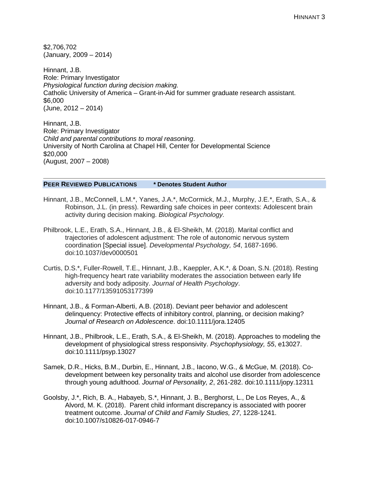\$2,706,702 (January, 2009 – 2014)

Hinnant, J.B. Role: Primary Investigator *Physiological function during decision making.*  Catholic University of America – Grant-in-Aid for summer graduate research assistant. \$6,000 (June, 2012 – 2014)

Hinnant, J.B. Role: Primary Investigator *Child and parental contributions to moral reasoning*. University of North Carolina at Chapel Hill, Center for Developmental Science \$20,000 (August, 2007 – 2008)

## **PEER REVIEWED PUBLICATIONS \* Denotes Student Author**

- Hinnant, J.B., McConnell, L.M.\*, Yanes, J.A.\*, McCormick, M.J., Murphy, J.E.\*, Erath, S.A., & Robinson, J.L. (in press). Rewarding safe choices in peer contexts: Adolescent brain activity during decision making. *Biological Psychology.*
- Philbrook, L.E., Erath, S.A., Hinnant, J.B., & El-Sheikh, M. (2018). Marital conflict and trajectories of adolescent adjustment: The role of autonomic nervous system coordination [Special issue]. *Developmental Psychology, 54*, 1687-1696. doi:10.1037/dev0000501
- Curtis, D.S.\*, Fuller-Rowell, T.E., Hinnant, J.B., Kaeppler, A.K.\*, & Doan, S.N. (2018). Resting high-frequency heart rate variability moderates the association between early life adversity and body adiposity. *Journal of Health Psychology*. doi:10.1177/13591053177399
- Hinnant, J.B., & Forman-Alberti, A.B. (2018). Deviant peer behavior and adolescent delinquency: Protective effects of inhibitory control, planning, or decision making? *Journal of Research on Adolescence*. doi:10.1111/jora.12405
- Hinnant, J.B., Philbrook, L.E., Erath, S.A., & El-Sheikh, M. (2018). Approaches to modeling the development of physiological stress responsivity. *Psychophysiology, 55*, e13027. doi:10.1111/psyp.13027
- Samek, D.R., Hicks, B.M., Durbin, E., Hinnant, J.B., Iacono, W.G., & McGue, M. (2018). Codevelopment between key personality traits and alcohol use disorder from adolescence through young adulthood. *Journal of Personality, 2*, 261-282. doi:10.1111/jopy.12311
- Goolsby, J.\*, Rich, B. A., Habayeb, S.\*, Hinnant, J. B., Berghorst, L., De Los Reyes, A., & Alvord, M. K. (2018). Parent child informant discrepancy is associated with poorer treatment outcome. *Journal of Child and Family Studies, 27*, 1228-1241. doi:10.1007/s10826-017-0946-7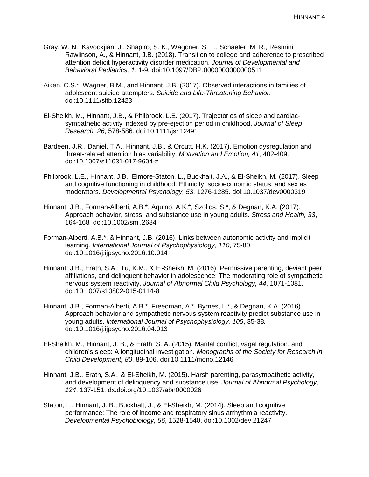- Gray, W. N., Kavookjian, J., Shapiro, S. K., Wagoner, S. T., Schaefer, M. R., Resmini Rawlinson, A., & Hinnant, J.B. (2018). Transition to college and adherence to prescribed attention deficit hyperactivity disorder medication. *Journal of Developmental and Behavioral Pediatrics, 1*, 1-9*.* doi:10.1097/DBP.0000000000000511
- Aiken, C.S.\*, Wagner, B.M., and Hinnant, J.B. (2017). Observed interactions in families of adolescent suicide attempters. *Suicide and Life-Threatening Behavior.* doi:10.1111/sltb.12423
- El-Sheikh, M., Hinnant, J.B., & Philbrook, L.E. (2017). Trajectories of sleep and cardiacsympathetic activity indexed by pre-ejection period in childhood. *Journal of Sleep Research, 26*, 578-586. doi:10.1111/jsr.12491
- Bardeen, J.R., Daniel, T.A., Hinnant, J.B., & Orcutt, H.K. (2017). Emotion dysregulation and threat-related attention bias variability. *Motivation and Emotion, 41*, 402-409. doi:10.1007/s11031-017-9604-z
- Philbrook, L.E., Hinnant, J.B., Elmore-Staton, L., Buckhalt, J.A., & El-Sheikh, M. (2017). Sleep and cognitive functioning in childhood: Ethnicity, socioeconomic status, and sex as moderators. *Developmental Psychology, 53*, 1276-1285. doi:10.1037/dev0000319
- Hinnant, J.B., Forman-Alberti, A.B.\*, Aquino, A.K.\*, Szollos, S.\*, & Degnan, K.A. (2017). Approach behavior, stress, and substance use in young adults. *Stress and Health, 33*, 164-168*.* doi:10.1002/smi.2684
- Forman-Alberti, A.B.\*, & Hinnant, J.B. (2016). Links between autonomic activity and implicit learning. *International Journal of Psychophysiology, 110*, 75-80. doi:10.1016/j.ijpsycho.2016.10.014
- Hinnant, J.B., Erath, S.A., Tu, K.M., & El-Sheikh, M. (2016). Permissive parenting, deviant peer affiliations, and delinquent behavior in adolescence: The moderating role of sympathetic nervous system reactivity. *Journal of Abnormal Child Psychology, 44*, 1071-1081. doi:10.1007/s10802-015-0114-8
- Hinnant, J.B., Forman-Alberti, A.B.\*, Freedman, A.\*, Byrnes, L.\*, & Degnan, K.A. (2016). Approach behavior and sympathetic nervous system reactivity predict substance use in young adults. *International Journal of Psychophysiology, 105*, 35-38*.*  doi:10.1016/j.ijpsycho.2016.04.013
- El-Sheikh, M., Hinnant, J. B., & Erath, S. A. (2015). Marital conflict, vagal regulation, and children's sleep: A longitudinal investigation. *Monographs of the Society for Research in Child Development, 80*, 89-106. doi:10.1111/mono.12146
- Hinnant, J.B., Erath, S.A., & El-Sheikh, M. (2015). Harsh parenting, parasympathetic activity, and development of delinquency and substance use. *Journal of Abnormal Psychology, 124*, 137-151. dx.doi.org/10.1037/abn0000026
- Staton, L., Hinnant, J. B., Buckhalt, J., & El-Sheikh, M. (2014). Sleep and cognitive performance: The role of income and respiratory sinus arrhythmia reactivity. *Developmental Psychobiology, 56*, 1528-1540. doi:10.1002/dev.21247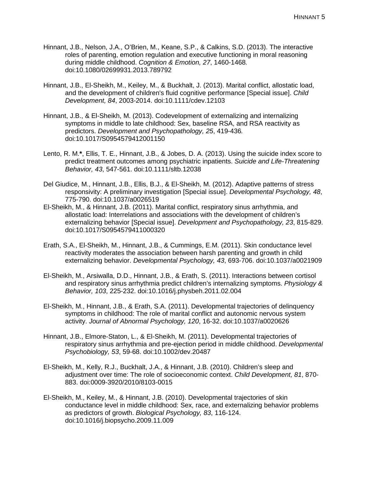- Hinnant, J.B., Nelson, J.A., O'Brien, M., Keane, S.P., & Calkins, S.D. (2013). The interactive roles of parenting, emotion regulation and executive functioning in moral reasoning during middle childhood. *Cognition & Emotion, 27*, 1460-1468*.* doi:10.1080/02699931.2013.789792
- Hinnant, J.B., El-Sheikh, M., Keiley, M., & Buckhalt, J. (2013). Marital conflict, allostatic load, and the development of children's fluid cognitive performance [Special issue]. *Child Development, 84*, 2003-2014. doi:10.1111/cdev.12103
- Hinnant, J.B., & El-Sheikh, M. (2013). Codevelopment of externalizing and internalizing symptoms in middle to late childhood: Sex, baseline RSA, and RSA reactivity as predictors. *Development and Psychopathology, 25*, 419-436*.* doi:10.1017/S0954579412001150
- Lento, R. M.**\***, Ellis, T. E., Hinnant, J.B., & Jobes, D. A. (2013). Using the suicide index score to predict treatment outcomes among psychiatric inpatients. *Suicide and Life-Threatening Behavior, 43*, 547-561. doi:10.1111/sltb.12038
- Del Giudice, M., Hinnant, J.B., Ellis, B.J., & El-Sheikh, M. (2012). Adaptive patterns of stress responsivity: A preliminary investigation [Special issue]. *Developmental Psychology, 48*, 775-790. doi:10.1037/a0026519
- El-Sheikh, M., & Hinnant, J.B. (2011). Marital conflict, respiratory sinus arrhythmia, and allostatic load: Interrelations and associations with the development of children's externalizing behavior [Special issue]. *Development and Psychopathology, 23*, 815-829. doi:10.1017/S0954579411000320
- Erath, S.A., El-Sheikh, M., Hinnant, J.B., & Cummings, E.M. (2011). Skin conductance level reactivity moderates the association between harsh parenting and growth in child externalizing behavior. *Developmental Psychology, 43*, 693-706. doi:10.1037/a0021909
- El-Sheikh, M., Arsiwalla, D.D., Hinnant, J.B., & Erath, S. (2011). Interactions between cortisol and respiratory sinus arrhythmia predict children's internalizing symptoms. *Physiology & Behavior, 103*, 225-232. doi:10.1016/j.physbeh.2011.02.004
- El-Sheikh, M., Hinnant, J.B., & Erath, S.A. (2011). Developmental trajectories of delinquency symptoms in childhood: The role of marital conflict and autonomic nervous system activity. *Journal of Abnormal Psychology, 120*, 16-32. doi:10.1037/a0020626
- Hinnant, J.B., Elmore-Staton, L., & El-Sheikh, M. (2011). Developmental trajectories of respiratory sinus arrhythmia and pre-ejection period in middle childhood. *Developmental Psychobiology, 53*, 59-68. doi:10.1002/dev.20487
- El-Sheikh, M., Kelly, R.J., Buckhalt, J.A., & Hinnant, J.B. (2010). Children's sleep and adjustment over time: The role of socioeconomic context. *Child Development, 81*, 870- 883. doi:0009-3920/2010/8103-0015
- El-Sheikh, M., Keiley, M., & Hinnant, J.B. (2010). Developmental trajectories of skin conductance level in middle childhood: Sex, race, and externalizing behavior problems as predictors of growth. *Biological Psychology, 83*, 116-124. doi:10.1016/j.biopsycho.2009.11.009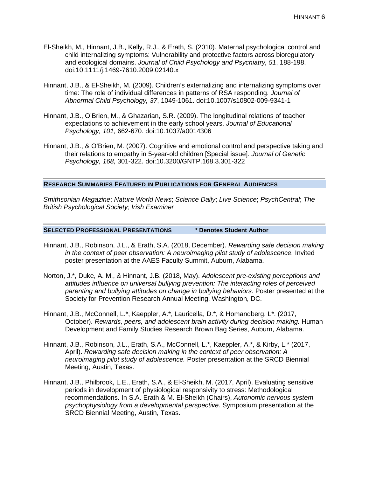- El-Sheikh, M., Hinnant, J.B., Kelly, R.J., & Erath, S. (2010). Maternal psychological control and child internalizing symptoms: Vulnerability and protective factors across bioregulatory and ecological domains. *Journal of Child Psychology and Psychiatry, 51*, 188-198. doi:10.1111/j.1469-7610.2009.02140.x
- Hinnant, J.B., & El-Sheikh, M. (2009). Children's externalizing and internalizing symptoms over time: The role of individual differences in patterns of RSA responding. *Journal of Abnormal Child Psychology, 37*, 1049-1061. doi:10.1007/s10802-009-9341-1
- Hinnant, J.B., O'Brien, M., & Ghazarian, S.R. (2009). The longitudinal relations of teacher expectations to achievement in the early school years. *Journal of Educational Psychology, 101*, 662-670. doi:10.1037/a0014306
- Hinnant, J.B., & O'Brien, M. (2007). Cognitive and emotional control and perspective taking and their relations to empathy in 5-year-old children [Special issue]. *Journal of Genetic Psychology, 168*, 301-322. doi:10.3200/GNTP.168.3.301-322

## **RESEARCH SUMMARIES FEATURED IN PUBLICATIONS FOR GENERAL AUDIENCES**

*Smithsonian Magazine*; *Nature World News*; *Science Daily*; *Live Science*; *PsychCentral*; *The British Psychological Society*; *Irish Examiner*

**SELECTED PROFESSIONAL PRESENTATIONS \* Denotes Student Author**

- Hinnant, J.B., Robinson, J.L., & Erath, S.A. (2018, December). *Rewarding safe decision making in the context of peer observation: A neuroimaging pilot study of adolescence.* Invited poster presentation at the AAES Faculty Summit, Auburn, Alabama.
- Norton, J.\*, Duke, A. M., & Hinnant, J.B. (2018, May). *Adolescent pre-existing perceptions and attitudes influence on universal bullying prevention: The interacting roles of perceived parenting and bullying attitudes on change in bullying behaviors.* Poster presented at the Society for Prevention Research Annual Meeting, Washington, DC.
- Hinnant, J.B., McConnell, L.\*, Kaeppler, A.\*, Lauricella, D.\*, & Homandberg, L\*. (2017, October). *Rewards, peers, and adolescent brain activity during decision making.* Human Development and Family Studies Research Brown Bag Series, Auburn, Alabama.
- Hinnant, J.B., Robinson, J.L., Erath, S.A., McConnell, L.\*, Kaeppler, A.\*, & Kirby, L.\* (2017, April). *Rewarding safe decision making in the context of peer observation: A neuroimaging pilot study of adolescence.* Poster presentation at the SRCD Biennial Meeting, Austin, Texas.
- Hinnant, J.B., Philbrook, L.E., Erath, S.A., & El-Sheikh, M. (2017, April). Evaluating sensitive periods in development of physiological responsivity to stress: Methodological recommendations. In S.A. Erath & M. El-Sheikh (Chairs), *Autonomic nervous system psychophysiology from a developmental perspective*. Symposium presentation at the SRCD Biennial Meeting, Austin, Texas.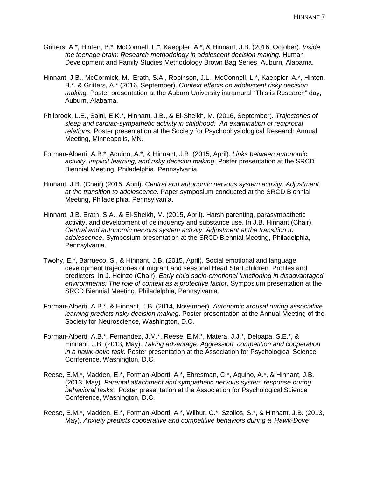- Gritters, A.\*, Hinten, B.\*, McConnell, L.\*, Kaeppler, A.\*, & Hinnant, J.B. (2016, October). *Inside the teenage brain: Research methodology in adolescent decision making.* Human Development and Family Studies Methodology Brown Bag Series, Auburn, Alabama.
- Hinnant, J.B., McCormick, M., Erath, S.A., Robinson, J.L., McConnell, L.\*, Kaeppler, A.\*, Hinten, B.\*, & Gritters, A.\* (2016, September). *Context effects on adolescent risky decision making.* Poster presentation at the Auburn University intramural "This is Research" day, Auburn, Alabama.
- Philbrook, L.E., Saini, E.K.\*, Hinnant, J.B., & El-Sheikh, M. (2016, September). *Trajectories of sleep and cardiac-sympathetic activity in childhood: An examination of reciprocal relations.* Poster presentation at the Society for Psychophysiological Research Annual Meeting, Minneapolis, MN.
- Forman-Alberti, A.B.\*, Aquino, A.\*, & Hinnant, J.B. (2015, April). *Links between autonomic activity, implicit learning, and risky decision making*. Poster presentation at the SRCD Biennial Meeting, Philadelphia, Pennsylvania.
- Hinnant, J.B. (Chair) (2015, April). *Central and autonomic nervous system activity: Adjustment at the transition to adolescence*. Paper symposium conducted at the SRCD Biennial Meeting, Philadelphia, Pennsylvania.
- Hinnant, J.B. Erath, S.A., & El-Sheikh, M. (2015, April). Harsh parenting, parasympathetic activity, and development of delinquency and substance use. In J.B. Hinnant (Chair), *Central and autonomic nervous system activity: Adjustment at the transition to adolescence*. Symposium presentation at the SRCD Biennial Meeting, Philadelphia, Pennsylvania.
- Twohy, E.\*, Barrueco, S., & Hinnant, J.B. (2015, April). Social emotional and language development trajectories of migrant and seasonal Head Start children: Profiles and predictors. In J. Heinze (Chair), *Early child socio-emotional functioning in disadvantaged environments: The role of context as a protective factor*. Symposium presentation at the SRCD Biennial Meeting, Philadelphia, Pennsylvania.
- Forman-Alberti, A.B.\*, & Hinnant, J.B. (2014, November). *Autonomic arousal during associative learning predicts risky decision making*. Poster presentation at the Annual Meeting of the Society for Neuroscience, Washington, D.C.
- Forman-Alberti, A.B.\*, Fernandez, J.M.\*, Reese, E.M.\*, Matera, J.J.\*, Delpapa, S.E.\*, & Hinnant, J.B. (2013, May). *Taking advantage: Aggression, competition and cooperation in a hawk-dove task*. Poster presentation at the Association for Psychological Science Conference, Washington, D.C.
- Reese, E.M.\*, Madden, E.\*, Forman-Alberti, A.\*, Ehresman, C.\*, Aquino, A.\*, & Hinnant, J.B. (2013, May). *Parental attachment and sympathetic nervous system response during behavioral tasks*. Poster presentation at the Association for Psychological Science Conference, Washington, D.C.
- Reese, E.M.\*, Madden, E.\*, Forman-Alberti, A.\*, Wilbur, C.\*, Szollos, S.\*, & Hinnant, J.B. (2013, May). *Anxiety predicts cooperative and competitive behaviors during a 'Hawk-Dove'*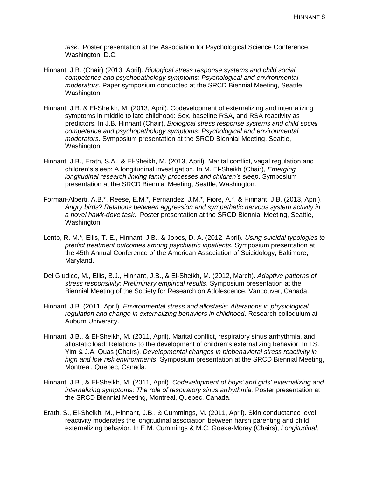*task*. Poster presentation at the Association for Psychological Science Conference, Washington, D.C.

- Hinnant, J.B. (Chair) (2013, April). *Biological stress response systems and child social competence and psychopathology symptoms: Psychological and environmental moderators*. Paper symposium conducted at the SRCD Biennial Meeting, Seattle, Washington.
- Hinnant, J.B. & El-Sheikh, M. (2013, April). Codevelopment of externalizing and internalizing symptoms in middle to late childhood: Sex, baseline RSA, and RSA reactivity as predictors. In J.B. Hinnant (Chair), *Biological stress response systems and child social competence and psychopathology symptoms: Psychological and environmental moderators*. Symposium presentation at the SRCD Biennial Meeting, Seattle, Washington.
- Hinnant, J.B., Erath, S.A., & El-Sheikh, M. (2013, April). Marital conflict, vagal regulation and children's sleep: A longitudinal investigation. In M. El-Sheikh (Chair), *Emerging longitudinal research linking family processes and children's sleep*. Symposium presentation at the SRCD Biennial Meeting, Seattle, Washington.
- Forman-Alberti, A.B.\*, Reese, E.M.\*, Fernandez, J.M.\*, Fiore, A.\*, & Hinnant, J.B. (2013, April). *Angry birds? Relations between aggression and sympathetic nervous system activity in a novel hawk-dove task*. Poster presentation at the SRCD Biennial Meeting, Seattle, Washington.
- Lento, R. M.\*, Ellis, T. E., Hinnant, J.B., & Jobes, D. A. (2012, April)*. Using suicidal typologies to predict treatment outcomes among psychiatric inpatients.* Symposium presentation at the 45th Annual Conference of the American Association of Suicidology, Baltimore, Maryland.
- Del Giudice, M., Ellis, B.J., Hinnant, J.B., & El-Sheikh, M. (2012, March). *Adaptive patterns of stress responsivity: Preliminary empirical results*. Symposium presentation at the Biennial Meeting of the Society for Research on Adolescence. Vancouver, Canada.
- Hinnant, J.B. (2011, April). *Environmental stress and allostasis: Alterations in physiological regulation and change in externalizing behaviors in childhood*. Research colloquium at Auburn University.
- Hinnant, J.B., & El-Sheikh, M. (2011, April). Marital conflict, respiratory sinus arrhythmia, and allostatic load: Relations to the development of children's externalizing behavior. In I.S. Yim & J.A. Quas (Chairs), *Developmental changes in biobehavioral stress reactivity in high and low risk environments*. Symposium presentation at the SRCD Biennial Meeting, Montreal, Quebec, Canada.
- Hinnant, J.B., & El-Sheikh, M. (2011, April). *Codevelopment of boys' and girls' externalizing and internalizing symptoms: The role of respiratory sinus arrhythmia.* Poster presentation at the SRCD Biennial Meeting, Montreal, Quebec, Canada.
- Erath, S., El-Sheikh, M., Hinnant, J.B., & Cummings, M. (2011, April). Skin conductance level reactivity moderates the longitudinal association between harsh parenting and child externalizing behavior. In E.M. Cummings & M.C. Goeke-Morey (Chairs), *Longitudinal,*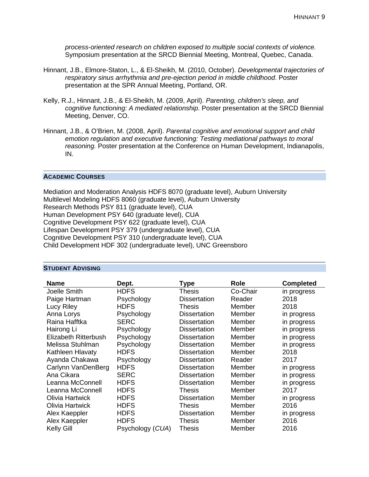*process-oriented research on children exposed to multiple social contexts of violence.* Symposium presentation at the SRCD Biennial Meeting, Montreal, Quebec, Canada.

- Hinnant, J.B., Elmore-Staton, L., & El-Sheikh, M. (2010, October). *Developmental trajectories of respiratory sinus arrhythmia and pre-ejection period in middle childhood*. Poster presentation at the SPR Annual Meeting, Portland, OR.
- Kelly, R.J., Hinnant, J.B., & El-Sheikh, M. (2009, April). *Parenting, children's sleep, and cognitive functioning: A mediated relationship*. Poster presentation at the SRCD Biennial Meeting, Denver, CO.
- Hinnant, J.B., & O'Brien, M. (2008, April). *Parental cognitive and emotional support and child emotion regulation and executive functioning: Testing mediational pathways to moral reasoning.* Poster presentation at the Conference on Human Development, Indianapolis, IN.

#### **ACADEMIC COURSES**

Mediation and Moderation Analysis HDFS 8070 (graduate level), Auburn University Multilevel Modeling HDFS 8060 (graduate level), Auburn University Research Methods PSY 811 (graduate level), CUA Human Development PSY 640 (graduate level), CUA Cognitive Development PSY 622 (graduate level), CUA Lifespan Development PSY 379 (undergraduate level), CUA Cognitive Development PSY 310 (undergraduate level), CUA Child Development HDF 302 (undergraduate level), UNC Greensboro

#### **STUDENT ADVISING**

| <b>Name</b>          | Dept.            | Type                | <b>Role</b> | <b>Completed</b> |
|----------------------|------------------|---------------------|-------------|------------------|
| Joelle Smith         | <b>HDFS</b>      | Thesis              | Co-Chair    | in progress      |
| Paige Hartman        | Psychology       | <b>Dissertation</b> | Reader      | 2018             |
| Lucy Riley           | <b>HDFS</b>      | <b>Thesis</b>       | Member      | 2018             |
| Anna Lorys           | Psychology       | <b>Dissertation</b> | Member      | in progress      |
| Raina Hafftka        | <b>SERC</b>      | <b>Dissertation</b> | Member      | in progress      |
| Hairong Li           | Psychology       | <b>Dissertation</b> | Member      | in progress      |
| Elizabeth Ritterbush | Psychology       | <b>Dissertation</b> | Member      | in progress      |
| Melissa Stuhlman     | Psychology       | <b>Dissertation</b> | Member      | in progress      |
| Kathleen Hlavaty     | <b>HDFS</b>      | <b>Dissertation</b> | Member      | 2018             |
| Ayanda Chakawa       | Psychology       | <b>Dissertation</b> | Reader      | 2017             |
| Carlynn VanDenBerg   | <b>HDFS</b>      | <b>Dissertation</b> | Member      | in progress      |
| Ana Cikara           | <b>SERC</b>      | <b>Dissertation</b> | Member      | in progress      |
| Leanna McConnell     | <b>HDFS</b>      | <b>Dissertation</b> | Member      | in progress      |
| Leanna McConnell     | <b>HDFS</b>      | Thesis              | Member      | 2017             |
| Olivia Hartwick      | <b>HDFS</b>      | <b>Dissertation</b> | Member      | in progress      |
| Olivia Hartwick      | <b>HDFS</b>      | <b>Thesis</b>       | Member      | 2016             |
| Alex Kaeppler        | <b>HDFS</b>      | <b>Dissertation</b> | Member      | in progress      |
| Alex Kaeppler        | <b>HDFS</b>      | Thesis              | Member      | 2016             |
| <b>Kelly Gill</b>    | Psychology (CUA) | Thesis              | Member      | 2016             |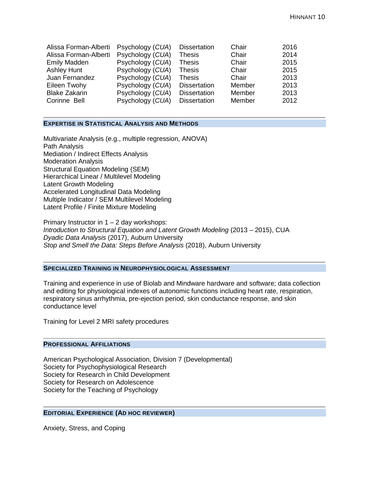| Alissa Forman-Alberti | Psychology (CUA) | <b>Dissertation</b> | Chair  | 2016 |
|-----------------------|------------------|---------------------|--------|------|
| Alissa Forman-Alberti | Psychology (CUA) | <b>Thesis</b>       | Chair  | 2014 |
| <b>Emily Madden</b>   | Psychology (CUA) | <b>Thesis</b>       | Chair  | 2015 |
| <b>Ashley Hunt</b>    | Psychology (CUA) | <b>Thesis</b>       | Chair  | 2015 |
| Juan Fernandez        | Psychology (CUA) | <b>Thesis</b>       | Chair  | 2013 |
| Eileen Twohy          | Psychology (CUA) | <b>Dissertation</b> | Member | 2013 |
| <b>Blake Zakarin</b>  | Psychology (CUA) | <b>Dissertation</b> | Member | 2013 |
| Corinne Bell          | Psychology (CUA) | <b>Dissertation</b> | Member | 2012 |
|                       |                  |                     |        |      |

#### **EXPERTISE IN STATISTICAL ANALYSIS AND METHODS**

Multivariate Analysis (e.g., multiple regression, ANOVA) Path Analysis Mediation / Indirect Effects Analysis Moderation Analysis Structural Equation Modeling (SEM) Hierarchical Linear / Multilevel Modeling Latent Growth Modeling Accelerated Longitudinal Data Modeling Multiple Indicator / SEM Multilevel Modeling Latent Profile / Finite Mixture Modeling

Primary Instructor in 1 – 2 day workshops: *Introduction to Structural Equation and Latent Growth Modeling* (2013 – 2015), CUA *Dyadic Data Analysis* (2017), Auburn University *Stop and Smell the Data: Steps Before Analysis* (2018), Auburn University

# **SPECIALIZED TRAINING IN NEUROPHYSIOLOGICAL ASSESSMENT**

Training and experience in use of Biolab and Mindware hardware and software; data collection and editing for physiological indexes of autonomic functions including heart rate, respiration, respiratory sinus arrhythmia, pre-ejection period, skin conductance response, and skin conductance level

Training for Level 2 MRI safety procedures

# **PROFESSIONAL AFFILIATIONS**

American Psychological Association, Division 7 (Developmental) Society for Psychophysiological Research Society for Research in Child Development Society for Research on Adolescence Society for the Teaching of Psychology

#### **EDITORIAL EXPERIENCE (AD HOC REVIEWER)**

Anxiety, Stress, and Coping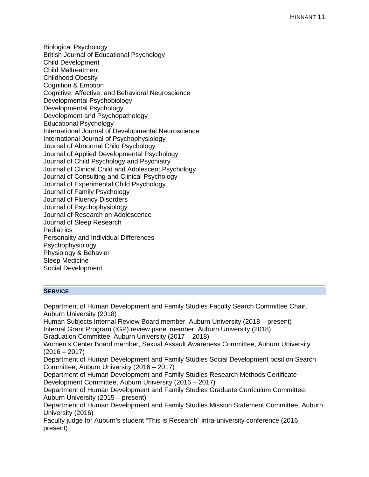Biological Psychology British Journal of Educational Psychology Child Development Child Maltreatment Childhood Obesity Cognition & Emotion Cognitive, Affective, and Behavioral Neuroscience Developmental Psychobiology Developmental Psychology Development and Psychopathology Educational Psychology International Journal of Developmental Neuroscience International Journal of Psychophysiology Journal of Abnormal Child Psychology Journal of Applied Developmental Psychology Journal of Child Psychology and Psychiatry Journal of Clinical Child and Adolescent Psychology Journal of Consulting and Clinical Psychology Journal of Experimental Child Psychology Journal of Family Psychology Journal of Fluency Disorders Journal of Psychophysiology Journal of Research on Adolescence Journal of Sleep Research **Pediatrics** Personality and Individual Differences Psychophysiology Physiology & Behavior Sleep Medicine Social Development

#### **SERVICE**

Department of Human Development and Family Studies Faculty Search Committee Chair, Auburn University (2018) Human Subjects Internal Review Board member, Auburn University (2018 – present) Internal Grant Program (IGP) review panel member, Auburn University (2018) Graduation Committee, Auburn University (2017 – 2018) Women's Center Board member, Sexual Assault Awareness Committee, Auburn University  $(2016 - 2017)$ Department of Human Development and Family Studies Social Development position Search Committee, Auburn University (2016 – 2017) Department of Human Development and Family Studies Research Methods Certificate Development Committee, Auburn University (2016 – 2017) Department of Human Development and Family Studies Graduate Curriculum Committee, Auburn University (2015 – present) Department of Human Development and Family Studies Mission Statement Committee, Auburn University (2016) Faculty judge for Auburn's student "This is Research" intra-university conference (2016 – present)